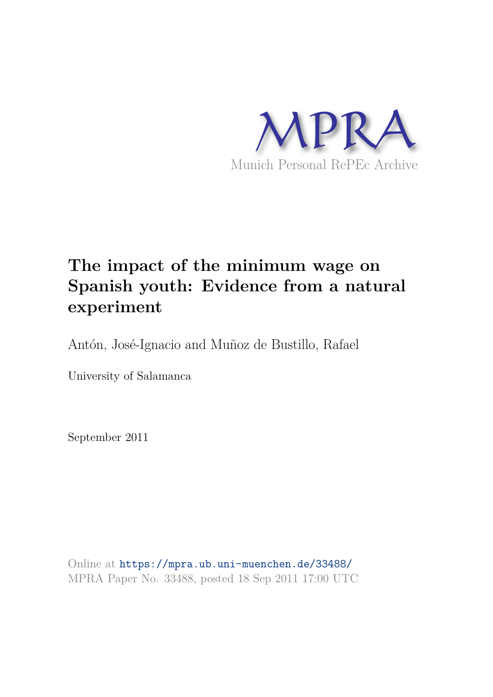

# **The impact of the minimum wage on Spanish youth: Evidence from a natural experiment**

Antón, José-Ignacio and Muñoz de Bustillo, Rafael

University of Salamanca

September 2011

Online at https://mpra.ub.uni-muenchen.de/33488/ MPRA Paper No. 33488, posted 18 Sep 2011 17:00 UTC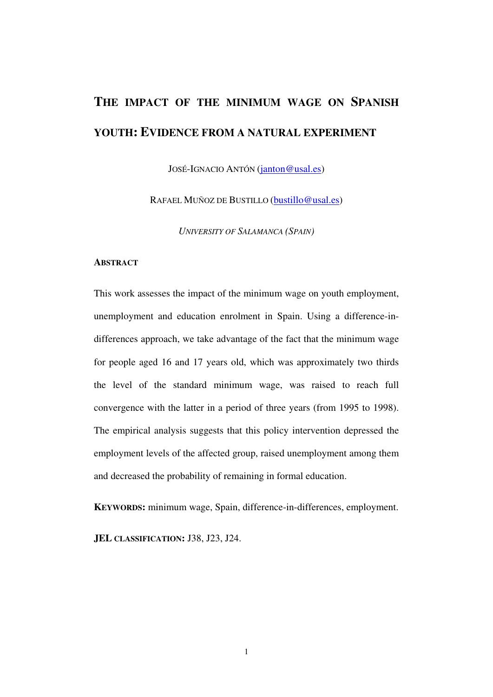# **THE IMPACT OF THE MINIMUM WAGE ON SPANISH YOUTH: EVIDENCE FROM A NATURAL EXPERIMENT**

JOSÉ-IGNACIO ANTÓN (janton@usal.es)

RAFAEL MUÑOZ DE BUSTILLO (bustillo@usal.es)

*UNIVERSITY OF SALAMANCA (SPAIN)* 

## **ABSTRACT**

This work assesses the impact of the minimum wage on youth employment, unemployment and education enrolment in Spain. Using a difference-indifferences approach, we take advantage of the fact that the minimum wage for people aged 16 and 17 years old, which was approximately two thirds the level of the standard minimum wage, was raised to reach full convergence with the latter in a period of three years (from 1995 to 1998). The empirical analysis suggests that this policy intervention depressed the employment levels of the affected group, raised unemployment among them and decreased the probability of remaining in formal education.

**KEYWORDS:** minimum wage, Spain, difference-in-differences, employment.

**JEL CLASSIFICATION:** J38, J23, J24.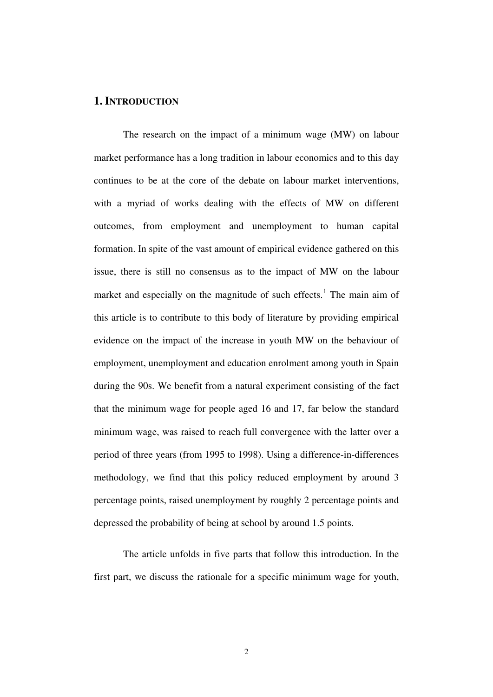# **1. INTRODUCTION**

The research on the impact of a minimum wage (MW) on labour market performance has a long tradition in labour economics and to this day continues to be at the core of the debate on labour market interventions, with a myriad of works dealing with the effects of MW on different outcomes, from employment and unemployment to human capital formation. In spite of the vast amount of empirical evidence gathered on this issue, there is still no consensus as to the impact of MW on the labour market and especially on the magnitude of such effects.<sup>[1](#page-17-0)</sup> The main aim of this article is to contribute to this body of literature by providing empirical evidence on the impact of the increase in youth MW on the behaviour of employment, unemployment and education enrolment among youth in Spain during the 90s. We benefit from a natural experiment consisting of the fact that the minimum wage for people aged 16 and 17, far below the standard minimum wage, was raised to reach full convergence with the latter over a period of three years (from 1995 to 1998). Using a difference-in-differences methodology, we find that this policy reduced employment by around 3 percentage points, raised unemployment by roughly 2 percentage points and depressed the probability of being at school by around 1.5 points.

The article unfolds in five parts that follow this introduction. In the first part, we discuss the rationale for a specific minimum wage for youth,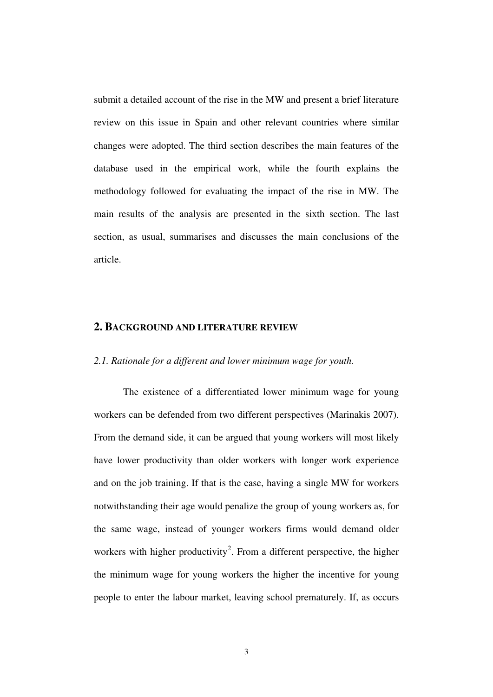submit a detailed account of the rise in the MW and present a brief literature review on this issue in Spain and other relevant countries where similar changes were adopted. The third section describes the main features of the database used in the empirical work, while the fourth explains the methodology followed for evaluating the impact of the rise in MW. The main results of the analysis are presented in the sixth section. The last section, as usual, summarises and discusses the main conclusions of the article.

### **2. BACKGROUND AND LITERATURE REVIEW**

## *2.1. Rationale for a different and lower minimum wage for youth.*

The existence of a differentiated lower minimum wage for young workers can be defended from two different perspectives (Marinakis 2007). From the demand side, it can be argued that young workers will most likely have lower productivity than older workers with longer work experience and on the job training. If that is the case, having a single MW for workers notwithstanding their age would penalize the group of young workers as, for the same wage, instead of younger workers firms would demand older workers with higher productivity<sup>[2](#page-17-1)</sup>. From a different perspective, the higher the minimum wage for young workers the higher the incentive for young people to enter the labour market, leaving school prematurely. If, as occurs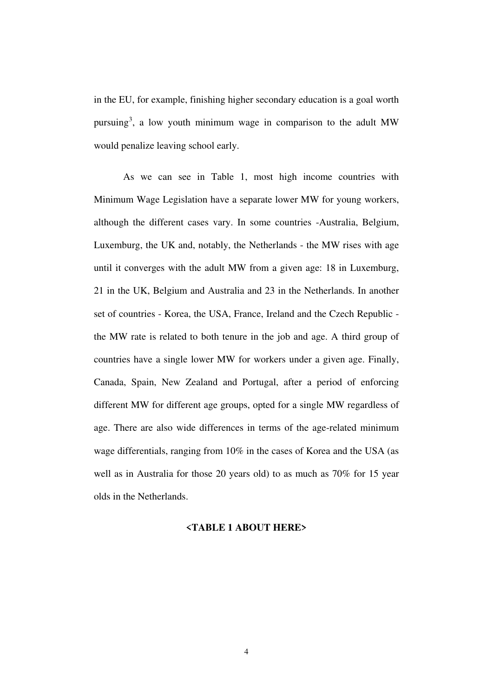in the EU, for example, finishing higher secondary education is a goal worth pursuing<sup>[3](#page-17-2)</sup>, a low youth minimum wage in comparison to the adult MW would penalize leaving school early.

As we can see in Table 1, most high income countries with Minimum Wage Legislation have a separate lower MW for young workers, although the different cases vary. In some countries -Australia, Belgium, Luxemburg, the UK and, notably, the Netherlands - the MW rises with age until it converges with the adult MW from a given age: 18 in Luxemburg, 21 in the UK, Belgium and Australia and 23 in the Netherlands. In another set of countries - Korea, the USA, France, Ireland and the Czech Republic the MW rate is related to both tenure in the job and age. A third group of countries have a single lower MW for workers under a given age. Finally, Canada, Spain, New Zealand and Portugal, after a period of enforcing different MW for different age groups, opted for a single MW regardless of age. There are also wide differences in terms of the age-related minimum wage differentials, ranging from 10% in the cases of Korea and the USA (as well as in Australia for those 20 years old) to as much as 70% for 15 year olds in the Netherlands.

### **<TABLE 1 ABOUT HERE>**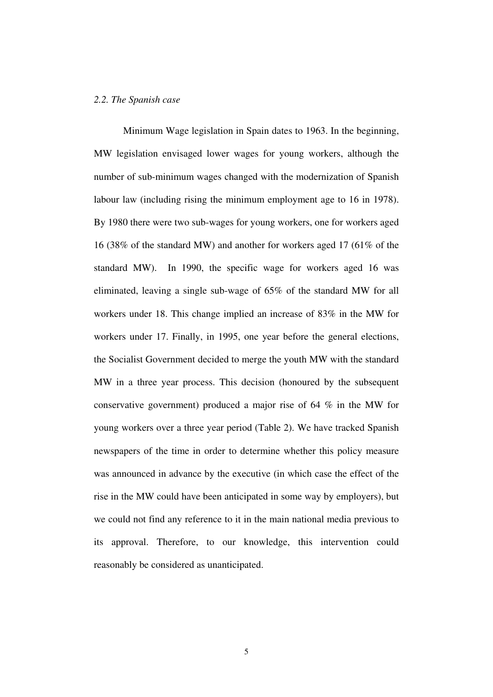## *2.2. The Spanish case*

Minimum Wage legislation in Spain dates to 1963. In the beginning, MW legislation envisaged lower wages for young workers, although the number of sub-minimum wages changed with the modernization of Spanish labour law (including rising the minimum employment age to 16 in 1978). By 1980 there were two sub-wages for young workers, one for workers aged 16 (38% of the standard MW) and another for workers aged 17 (61% of the standard MW). In 1990, the specific wage for workers aged 16 was eliminated, leaving a single sub-wage of 65% of the standard MW for all workers under 18. This change implied an increase of 83% in the MW for workers under 17. Finally, in 1995, one year before the general elections, the Socialist Government decided to merge the youth MW with the standard MW in a three year process. This decision (honoured by the subsequent conservative government) produced a major rise of 64 % in the MW for young workers over a three year period (Table 2). We have tracked Spanish newspapers of the time in order to determine whether this policy measure was announced in advance by the executive (in which case the effect of the rise in the MW could have been anticipated in some way by employers), but we could not find any reference to it in the main national media previous to its approval. Therefore, to our knowledge, this intervention could reasonably be considered as unanticipated.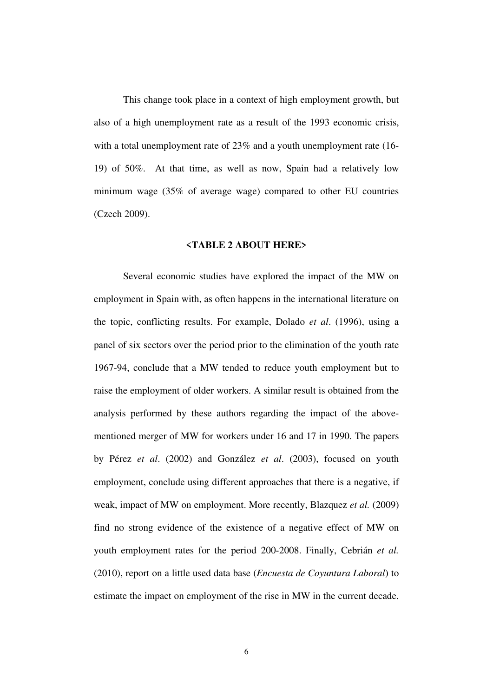This change took place in a context of high employment growth, but also of a high unemployment rate as a result of the 1993 economic crisis, with a total unemployment rate of 23% and a youth unemployment rate (16- 19) of 50%. At that time, as well as now, Spain had a relatively low minimum wage (35% of average wage) compared to other EU countries (Czech 2009).

### **<TABLE 2 ABOUT HERE>**

Several economic studies have explored the impact of the MW on employment in Spain with, as often happens in the international literature on the topic, conflicting results. For example, Dolado *et al*. (1996), using a panel of six sectors over the period prior to the elimination of the youth rate 1967-94, conclude that a MW tended to reduce youth employment but to raise the employment of older workers. A similar result is obtained from the analysis performed by these authors regarding the impact of the abovementioned merger of MW for workers under 16 and 17 in 1990. The papers by Pérez *et al*. (2002) and González *et al*. (2003), focused on youth employment, conclude using different approaches that there is a negative, if weak, impact of MW on employment. More recently, Blazquez *et al.* (2009) find no strong evidence of the existence of a negative effect of MW on youth employment rates for the period 200-2008. Finally, Cebrián *et al.*  (2010), report on a little used data base (*Encuesta de Coyuntura Laboral*) to estimate the impact on employment of the rise in MW in the current decade.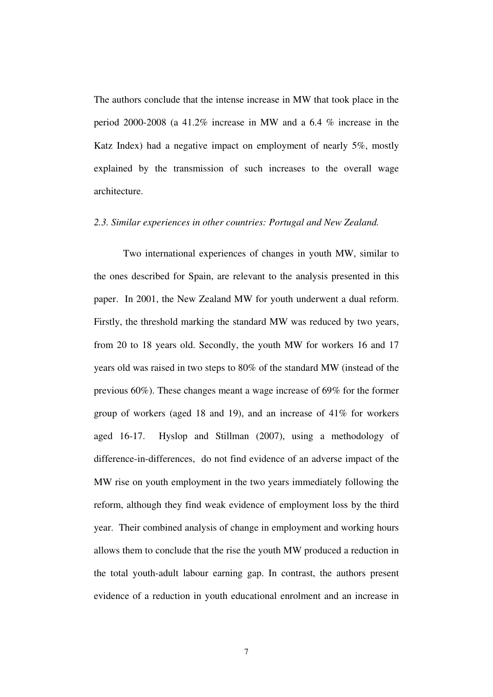The authors conclude that the intense increase in MW that took place in the period 2000-2008 (a 41.2% increase in MW and a 6.4 % increase in the Katz Index) had a negative impact on employment of nearly 5%, mostly explained by the transmission of such increases to the overall wage architecture.

## *2.3. Similar experiences in other countries: Portugal and New Zealand.*

Two international experiences of changes in youth MW, similar to the ones described for Spain, are relevant to the analysis presented in this paper. In 2001, the New Zealand MW for youth underwent a dual reform. Firstly, the threshold marking the standard MW was reduced by two years, from 20 to 18 years old. Secondly, the youth MW for workers 16 and 17 years old was raised in two steps to 80% of the standard MW (instead of the previous 60%). These changes meant a wage increase of 69% for the former group of workers (aged 18 and 19), and an increase of 41% for workers aged 16-17. Hyslop and Stillman (2007), using a methodology of difference-in-differences, do not find evidence of an adverse impact of the MW rise on youth employment in the two years immediately following the reform, although they find weak evidence of employment loss by the third year. Their combined analysis of change in employment and working hours allows them to conclude that the rise the youth MW produced a reduction in the total youth-adult labour earning gap. In contrast, the authors present evidence of a reduction in youth educational enrolment and an increase in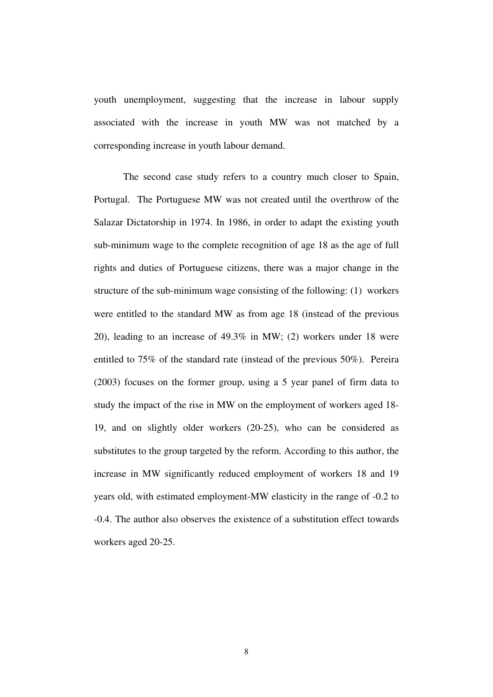youth unemployment, suggesting that the increase in labour supply associated with the increase in youth MW was not matched by a corresponding increase in youth labour demand.

The second case study refers to a country much closer to Spain, Portugal. The Portuguese MW was not created until the overthrow of the Salazar Dictatorship in 1974. In 1986, in order to adapt the existing youth sub-minimum wage to the complete recognition of age 18 as the age of full rights and duties of Portuguese citizens, there was a major change in the structure of the sub-minimum wage consisting of the following: (1) workers were entitled to the standard MW as from age 18 (instead of the previous 20), leading to an increase of 49.3% in MW; (2) workers under 18 were entitled to 75% of the standard rate (instead of the previous 50%). Pereira (2003) focuses on the former group, using a 5 year panel of firm data to study the impact of the rise in MW on the employment of workers aged 18- 19, and on slightly older workers (20-25), who can be considered as substitutes to the group targeted by the reform. According to this author, the increase in MW significantly reduced employment of workers 18 and 19 years old, with estimated employment-MW elasticity in the range of -0.2 to -0.4. The author also observes the existence of a substitution effect towards workers aged 20-25.

8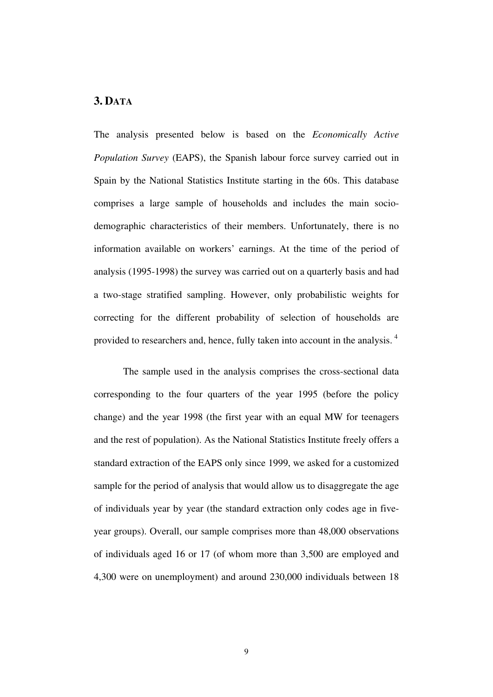# **3. DATA**

The analysis presented below is based on the *Economically Active Population Survey* (EAPS), the Spanish labour force survey carried out in Spain by the National Statistics Institute starting in the 60s. This database comprises a large sample of households and includes the main sociodemographic characteristics of their members. Unfortunately, there is no information available on workers' earnings. At the time of the period of analysis (1995-1998) the survey was carried out on a quarterly basis and had a two-stage stratified sampling. However, only probabilistic weights for correcting for the different probability of selection of households are provided to researchers and, hence, fully taken into account in the analysis. [4](#page-17-3)

The sample used in the analysis comprises the cross-sectional data corresponding to the four quarters of the year 1995 (before the policy change) and the year 1998 (the first year with an equal MW for teenagers and the rest of population). As the National Statistics Institute freely offers a standard extraction of the EAPS only since 1999, we asked for a customized sample for the period of analysis that would allow us to disaggregate the age of individuals year by year (the standard extraction only codes age in fiveyear groups). Overall, our sample comprises more than 48,000 observations of individuals aged 16 or 17 (of whom more than 3,500 are employed and 4,300 were on unemployment) and around 230,000 individuals between 18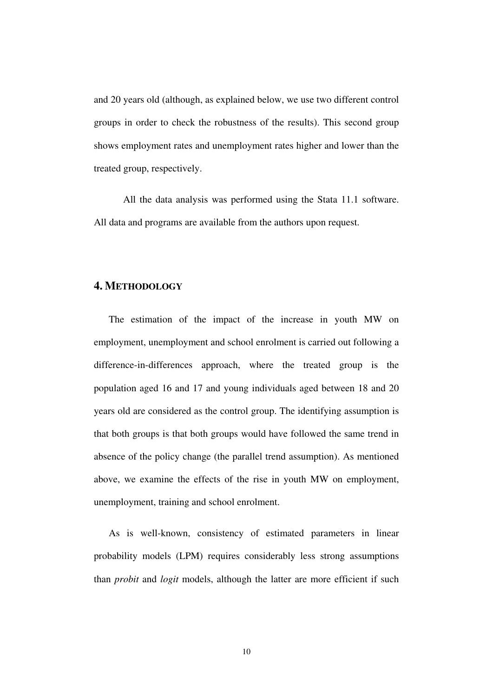and 20 years old (although, as explained below, we use two different control groups in order to check the robustness of the results). This second group shows employment rates and unemployment rates higher and lower than the treated group, respectively.

All the data analysis was performed using the Stata 11.1 software. All data and programs are available from the authors upon request.

# **4. METHODOLOGY**

The estimation of the impact of the increase in youth MW on employment, unemployment and school enrolment is carried out following a difference-in-differences approach, where the treated group is the population aged 16 and 17 and young individuals aged between 18 and 20 years old are considered as the control group. The identifying assumption is that both groups is that both groups would have followed the same trend in absence of the policy change (the parallel trend assumption). As mentioned above, we examine the effects of the rise in youth MW on employment, unemployment, training and school enrolment.

As is well-known, consistency of estimated parameters in linear probability models (LPM) requires considerably less strong assumptions than *probit* and *logit* models, although the latter are more efficient if such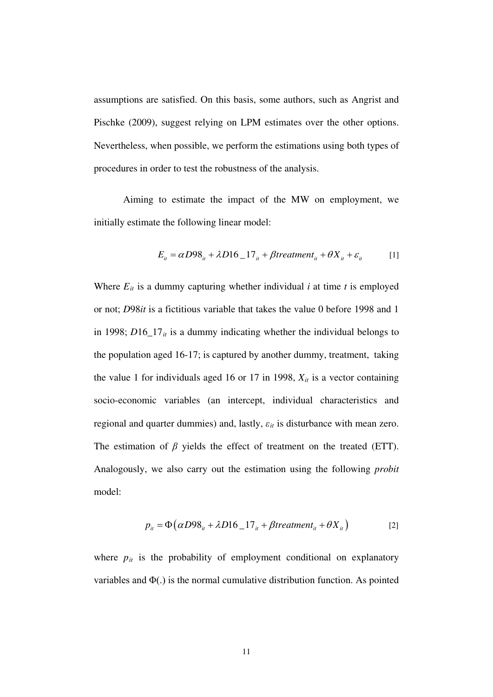assumptions are satisfied. On this basis, some authors, such as Angrist and Pischke (2009), suggest relying on LPM estimates over the other options. Nevertheless, when possible, we perform the estimations using both types of procedures in order to test the robustness of the analysis.

Aiming to estimate the impact of the MW on employment, we initially estimate the following linear model:

$$
E_{it} = \alpha D98_{it} + \lambda D16_{1}7_{it} + \beta treatment_{it} + \theta X_{it} + \varepsilon_{it}
$$
 [1]

Where  $E_{it}$  is a dummy capturing whether individual  $i$  at time  $t$  is employed or not; *D*98*it* is a fictitious variable that takes the value 0 before 1998 and 1 in 1998; *D*16\_17*it* is a dummy indicating whether the individual belongs to the population aged 16-17; is captured by another dummy, treatment, taking the value 1 for individuals aged 16 or 17 in 1998,  $X_{it}$  is a vector containing socio-economic variables (an intercept, individual characteristics and regional and quarter dummies) and, lastly,  $\varepsilon_{it}$  is disturbance with mean zero. The estimation of  $\beta$  yields the effect of treatment on the treated (ETT). Analogously, we also carry out the estimation using the following *probit* model:

$$
p_{it} = \Phi\left(\alpha D98_{it} + \lambda D16_{1}7_{it} + \beta treatment_{it} + \theta X_{it}\right)
$$
 [2]

where  $p_{it}$  is the probability of employment conditional on explanatory variables and  $\Phi(.)$  is the normal cumulative distribution function. As pointed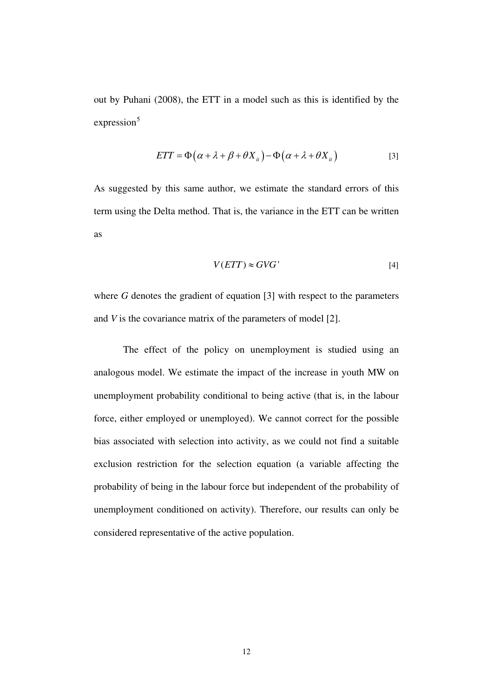out by Puhani (2008), the ETT in a model such as this is identified by the  $expression<sup>5</sup>$  $expression<sup>5</sup>$  $expression<sup>5</sup>$ 

$$
ETT = \Phi(\alpha + \lambda + \beta + \theta X_{it}) - \Phi(\alpha + \lambda + \theta X_{it})
$$
 [3]

As suggested by this same author, we estimate the standard errors of this term using the Delta method. That is, the variance in the ETT can be written as

$$
V(ETT) \approx GVG' \tag{4}
$$

where *G* denotes the gradient of equation [3] with respect to the parameters and *V* is the covariance matrix of the parameters of model [2].

The effect of the policy on unemployment is studied using an analogous model. We estimate the impact of the increase in youth MW on unemployment probability conditional to being active (that is, in the labour force, either employed or unemployed). We cannot correct for the possible bias associated with selection into activity, as we could not find a suitable exclusion restriction for the selection equation (a variable affecting the probability of being in the labour force but independent of the probability of unemployment conditioned on activity). Therefore, our results can only be considered representative of the active population.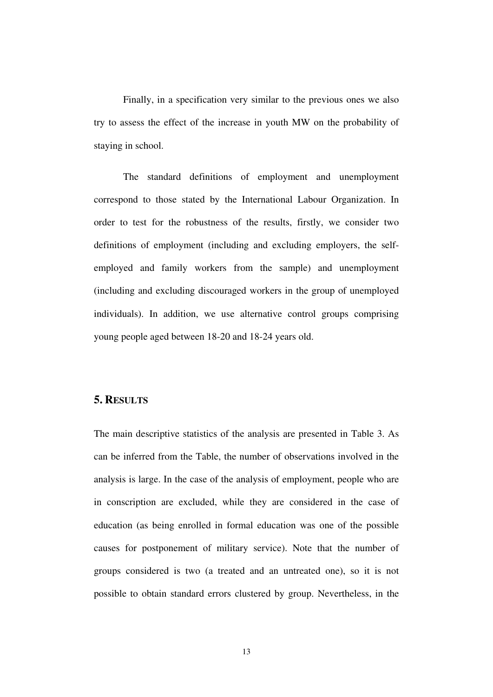Finally, in a specification very similar to the previous ones we also try to assess the effect of the increase in youth MW on the probability of staying in school.

The standard definitions of employment and unemployment correspond to those stated by the International Labour Organization. In order to test for the robustness of the results, firstly, we consider two definitions of employment (including and excluding employers, the selfemployed and family workers from the sample) and unemployment (including and excluding discouraged workers in the group of unemployed individuals). In addition, we use alternative control groups comprising young people aged between 18-20 and 18-24 years old.

# **5. RESULTS**

The main descriptive statistics of the analysis are presented in Table 3. As can be inferred from the Table, the number of observations involved in the analysis is large. In the case of the analysis of employment, people who are in conscription are excluded, while they are considered in the case of education (as being enrolled in formal education was one of the possible causes for postponement of military service). Note that the number of groups considered is two (a treated and an untreated one), so it is not possible to obtain standard errors clustered by group. Nevertheless, in the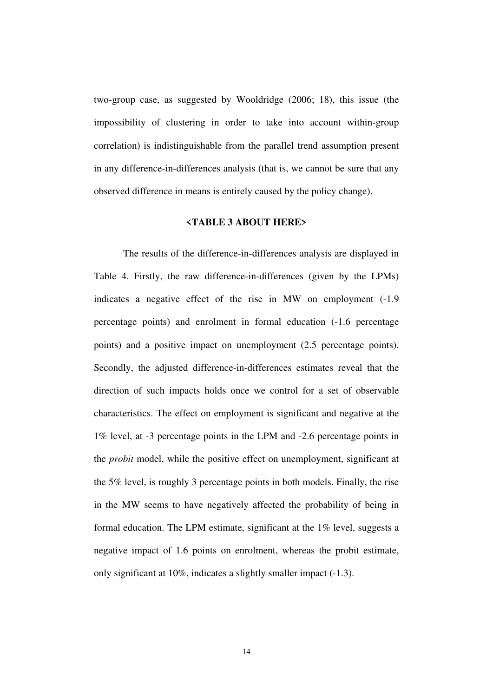two-group case, as suggested by Wooldridge (2006; 18), this issue (the impossibility of clustering in order to take into account within-group correlation) is indistinguishable from the parallel trend assumption present in any difference-in-differences analysis (that is, we cannot be sure that any observed difference in means is entirely caused by the policy change).

## **<TABLE 3 ABOUT HERE>**

The results of the difference-in-differences analysis are displayed in Table 4. Firstly, the raw difference-in-differences (given by the LPMs) indicates a negative effect of the rise in MW on employment (-1.9 percentage points) and enrolment in formal education (-1.6 percentage points) and a positive impact on unemployment (2.5 percentage points). Secondly, the adjusted difference-in-differences estimates reveal that the direction of such impacts holds once we control for a set of observable characteristics. The effect on employment is significant and negative at the 1% level, at -3 percentage points in the LPM and -2.6 percentage points in the *probit* model, while the positive effect on unemployment, significant at the 5% level, is roughly 3 percentage points in both models. Finally, the rise in the MW seems to have negatively affected the probability of being in formal education. The LPM estimate, significant at the 1% level, suggests a negative impact of 1.6 points on enrolment, whereas the probit estimate, only significant at 10%, indicates a slightly smaller impact (-1.3).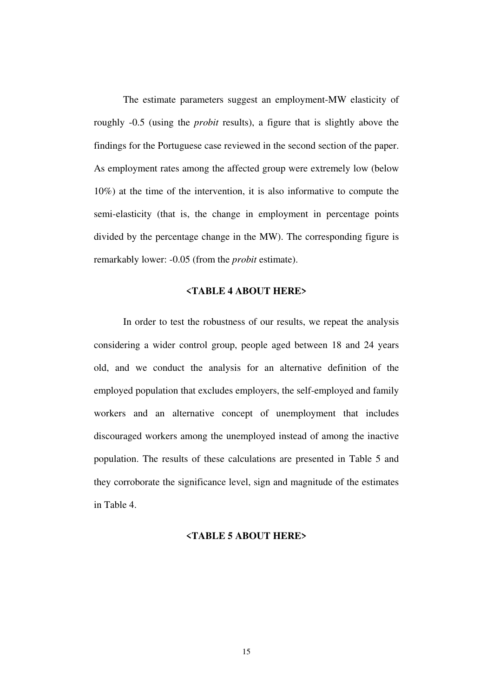The estimate parameters suggest an employment-MW elasticity of roughly -0.5 (using the *probit* results), a figure that is slightly above the findings for the Portuguese case reviewed in the second section of the paper. As employment rates among the affected group were extremely low (below 10%) at the time of the intervention, it is also informative to compute the semi-elasticity (that is, the change in employment in percentage points divided by the percentage change in the MW). The corresponding figure is remarkably lower: -0.05 (from the *probit* estimate).

## **<TABLE 4 ABOUT HERE>**

In order to test the robustness of our results, we repeat the analysis considering a wider control group, people aged between 18 and 24 years old, and we conduct the analysis for an alternative definition of the employed population that excludes employers, the self-employed and family workers and an alternative concept of unemployment that includes discouraged workers among the unemployed instead of among the inactive population. The results of these calculations are presented in Table 5 and they corroborate the significance level, sign and magnitude of the estimates in Table 4.

## **<TABLE 5 ABOUT HERE>**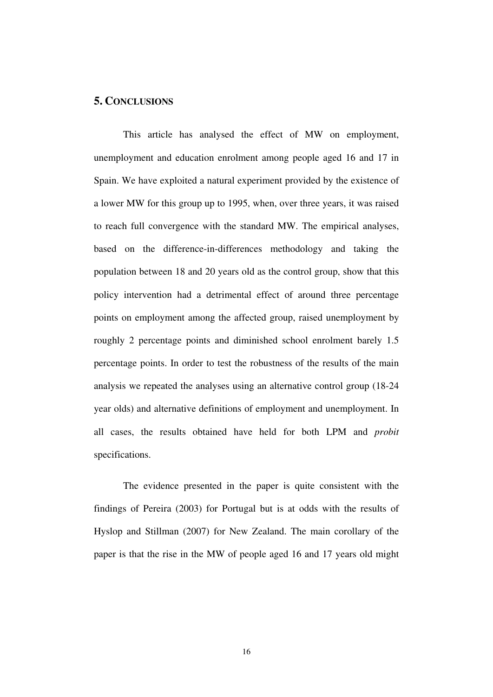## **5. CONCLUSIONS**

This article has analysed the effect of MW on employment, unemployment and education enrolment among people aged 16 and 17 in Spain. We have exploited a natural experiment provided by the existence of a lower MW for this group up to 1995, when, over three years, it was raised to reach full convergence with the standard MW. The empirical analyses, based on the difference-in-differences methodology and taking the population between 18 and 20 years old as the control group, show that this policy intervention had a detrimental effect of around three percentage points on employment among the affected group, raised unemployment by roughly 2 percentage points and diminished school enrolment barely 1.5 percentage points. In order to test the robustness of the results of the main analysis we repeated the analyses using an alternative control group (18-24 year olds) and alternative definitions of employment and unemployment. In all cases, the results obtained have held for both LPM and *probit* specifications.

The evidence presented in the paper is quite consistent with the findings of Pereira (2003) for Portugal but is at odds with the results of Hyslop and Stillman (2007) for New Zealand. The main corollary of the paper is that the rise in the MW of people aged 16 and 17 years old might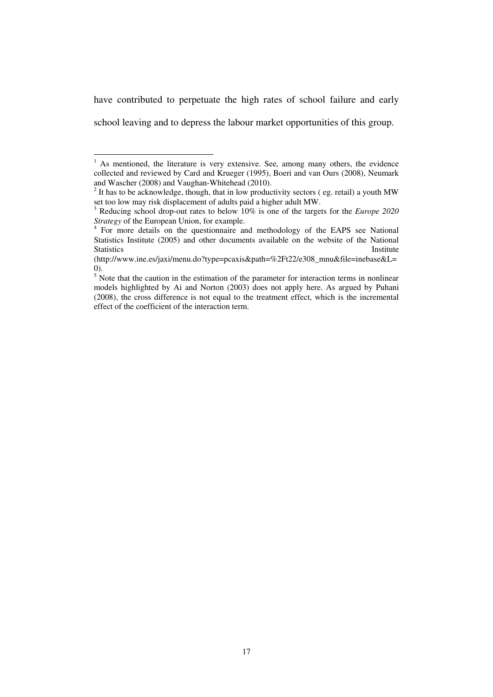have contributed to perpetuate the high rates of school failure and early school leaving and to depress the labour market opportunities of this group.

l

<span id="page-17-0"></span><sup>&</sup>lt;sup>1</sup> As mentioned, the literature is very extensive. See, among many others, the evidence collected and reviewed by Card and Krueger (1995), Boeri and van Ours (2008), Neumark and Wascher (2008) and Vaughan-Whitehead (2010).

<span id="page-17-1"></span> $2$  It has to be acknowledge, though, that in low productivity sectors (eg. retail) a youth MW set too low may risk displacement of adults paid a higher adult MW.<br><sup>3</sup> Reducing school drag at t

<span id="page-17-2"></span><sup>3</sup> Reducing school drop-out rates to below 10% is one of the targets for the *Europe 2020* 

<span id="page-17-3"></span>*Strategy* of the European Union, for example.<br><sup>4</sup> For more details on the questionnaire and methodology of the EAPS see National Statistics Institute (2005) and other documents available on the website of the National Statistics **Institute** Institute **Institute** 

<sup>(</sup>http://www.ine.es/jaxi/menu.do?type=pcaxis&path=%2Ft22/e308\_mnu&file=inebase&L= 0).

<span id="page-17-4"></span> $5$  Note that the caution in the estimation of the parameter for interaction terms in nonlinear models highlighted by Ai and Norton (2003) does not apply here. As argued by Puhani (2008), the cross difference is not equal to the treatment effect, which is the incremental effect of the coefficient of the interaction term.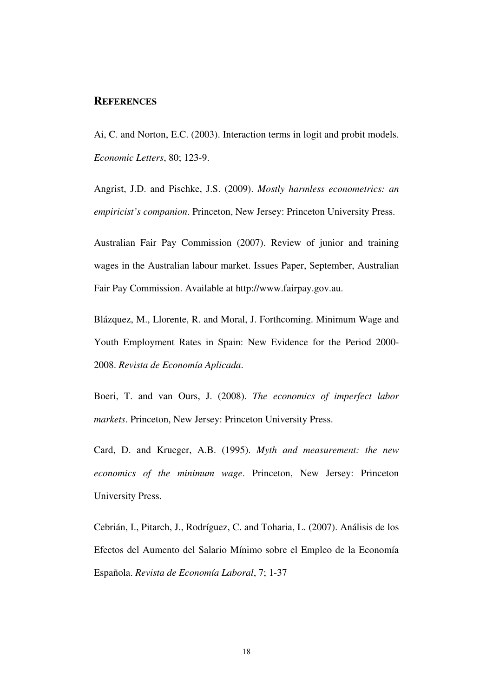## **REFERENCES**

Ai, C. and Norton, E.C. (2003). Interaction terms in logit and probit models. *Economic Letters*, 80; 123-9.

Angrist, J.D. and Pischke, J.S. (2009). *Mostly harmless econometrics: an empiricist's companion*. Princeton, New Jersey: Princeton University Press.

Australian Fair Pay Commission (2007). Review of junior and training wages in the Australian labour market. Issues Paper, September, Australian Fair Pay Commission. Available at http://www.fairpay.gov.au.

Blázquez, M., Llorente, R. and Moral, J. Forthcoming. Minimum Wage and Youth Employment Rates in Spain: New Evidence for the Period 2000- 2008. *Revista de Economía Aplicada*.

Boeri, T. and van Ours, J. (2008). *The economics of imperfect labor markets*. Princeton, New Jersey: Princeton University Press.

Card, D. and Krueger, A.B. (1995). *Myth and measurement: the new economics of the minimum wage*. Princeton, New Jersey: Princeton University Press.

Cebrián, I., Pitarch, J., Rodríguez, C. and Toharia, L. (2007). Análisis de los Efectos del Aumento del Salario Mínimo sobre el Empleo de la Economía Española. *Revista de Economía Laboral*, 7; 1-37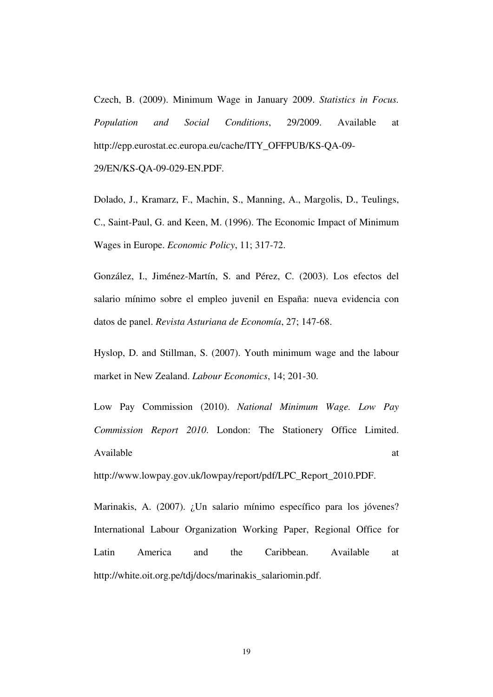Czech, B. (2009). Minimum Wage in January 2009. *Statistics in Focus. Population and Social Conditions*, 29/2009. Available at http://epp.eurostat.ec.europa.eu/cache/ITY\_OFFPUB/KS-QA-09-

29/EN/KS-QA-09-029-EN.PDF.

Dolado, J., Kramarz, F., Machin, S., Manning, A., Margolis, D., Teulings, C., Saint-Paul, G. and Keen, M. (1996). The Economic Impact of Minimum Wages in Europe. *Economic Policy*, 11; 317-72.

González, I., Jiménez-Martín, S. and Pérez, C. (2003). Los efectos del salario mínimo sobre el empleo juvenil en España: nueva evidencia con datos de panel. *Revista Asturiana de Economía*, 27; 147-68.

Hyslop, D. and Stillman, S. (2007). Youth minimum wage and the labour market in New Zealand. *Labour Economics*, 14; 201-30.

Low Pay Commission (2010). *National Minimum Wage. Low Pay Commission Report 2010*. London: The Stationery Office Limited. Available at the state of the state at the state at the state at the state at the state at the state at the state at the state at the state at the state at the state at the state at the state at the state at the state at t

http://www.lowpay.gov.uk/lowpay/report/pdf/LPC\_Report\_2010.PDF.

Marinakis, A. (2007). ¿Un salario mínimo específico para los jóvenes? International Labour Organization Working Paper, Regional Office for Latin America and the Caribbean. Available at http://white.oit.org.pe/tdj/docs/marinakis\_salariomin.pdf.

19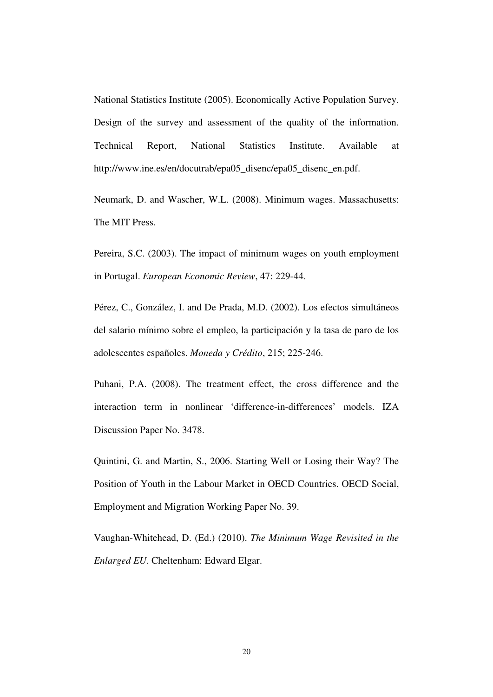National Statistics Institute (2005). Economically Active Population Survey. Design of the survey and assessment of the quality of the information. Technical Report, National Statistics Institute. Available at http://www.ine.es/en/docutrab/epa05\_disenc/epa05\_disenc\_en.pdf.

Neumark, D. and Wascher, W.L. (2008). Minimum wages. Massachusetts: The MIT Press.

Pereira, S.C. (2003). The impact of minimum wages on youth employment in Portugal. *European Economic Review*, 47: 229-44.

Pérez, C., González, I. and De Prada, M.D. (2002). Los efectos simultáneos del salario mínimo sobre el empleo, la participación y la tasa de paro de los adolescentes españoles. *Moneda y Crédito*, 215; 225-246.

Puhani, P.A. (2008). The treatment effect, the cross difference and the interaction term in nonlinear 'difference-in-differences' models. IZA Discussion Paper No. 3478.

Quintini, G. and Martin, S., 2006. Starting Well or Losing their Way? The Position of Youth in the Labour Market in OECD Countries. OECD Social, Employment and Migration Working Paper No. 39.

Vaughan-Whitehead, D. (Ed.) (2010). *The Minimum Wage Revisited in the Enlarged EU*. Cheltenham: Edward Elgar.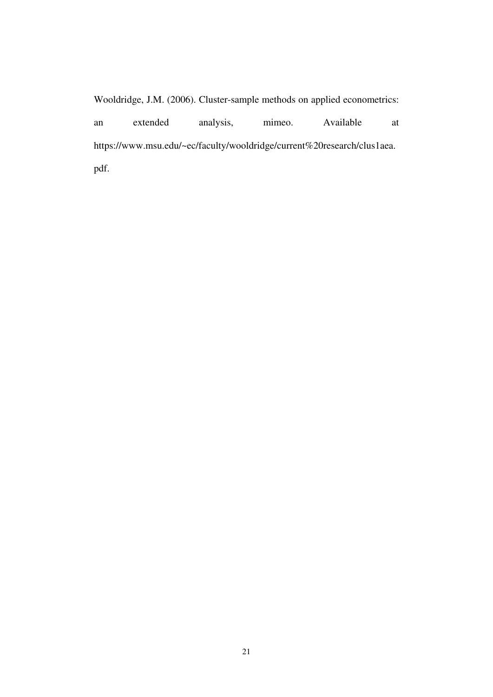Wooldridge, J.M. (2006). Cluster-sample methods on applied econometrics: an extended analysis, mimeo. Available at https://www.msu.edu/~ec/faculty/wooldridge/current%20research/clus1aea. pdf.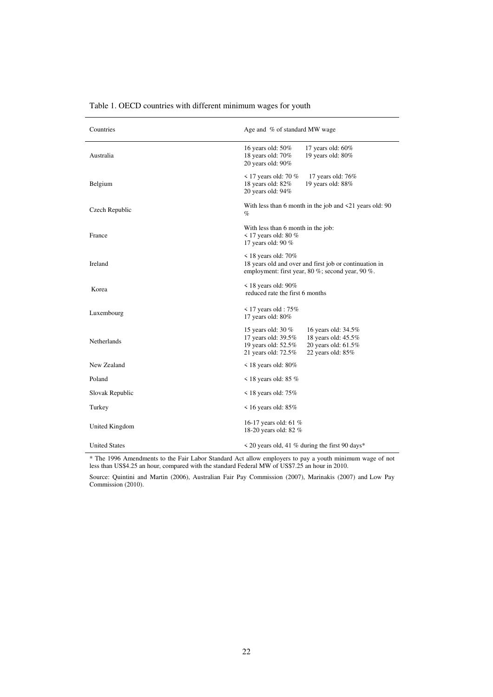| Countries            | Age and % of standard MW wage                                                                                                                                                       |  |  |  |
|----------------------|-------------------------------------------------------------------------------------------------------------------------------------------------------------------------------------|--|--|--|
| Australia            | 17 years old: 60%<br>16 years old: 50%<br>18 years old: 70%<br>19 years old: 80%<br>20 years old: $90\%$                                                                            |  |  |  |
| Belgium              | $\leq$ 17 years old: 70 %<br>17 years old: 76%<br>18 years old: 82%<br>19 years old: 88%<br>20 years old: 94%                                                                       |  |  |  |
| Czech Republic       | With less than 6 month in the job and $\leq 21$ years old: 90<br>%                                                                                                                  |  |  |  |
| France               | With less than 6 month in the job:<br>$\leq$ 17 years old: 80 %<br>17 years old: 90 %                                                                                               |  |  |  |
| Ireland              | $\leq$ 18 years old: 70%<br>18 years old and over and first job or continuation in<br>employment: first year, 80 %; second year, 90 %.                                              |  |  |  |
| Korea                | $\leq$ 18 years old: 90%<br>reduced rate the first 6 months                                                                                                                         |  |  |  |
| Luxembourg           | $\leq$ 17 years old : 75%<br>17 years old: 80%                                                                                                                                      |  |  |  |
| Netherlands          | 15 years old: 30 %<br>16 years old: 34.5%<br>17 years old: 39.5%<br>18 years old: 45.5%<br>19 years old: 52.5%<br>20 years old: 61.5%<br>21 years old: 72.5%<br>22 years old: $85%$ |  |  |  |
| New Zealand          | $\leq$ 18 years old: 80%                                                                                                                                                            |  |  |  |
| Poland               | $\leq$ 18 years old: 85 %                                                                                                                                                           |  |  |  |
| Slovak Republic      | $\leq$ 18 years old: 75%                                                                                                                                                            |  |  |  |
| Turkey               | $\leq$ 16 years old: 85%                                                                                                                                                            |  |  |  |
| United Kingdom       | 16-17 years old: 61 %<br>18-20 years old: 82 %                                                                                                                                      |  |  |  |
| <b>United States</b> | $\leq$ 20 years old, 41 % during the first 90 days*                                                                                                                                 |  |  |  |

Table 1. OECD countries with different minimum wages for youth

\* The 1996 Amendments to the Fair Labor Standard Act allow employers to pay a youth minimum wage of not less than US\$4.25 an hour, compared with the standard Federal MW of US\$7.25 an hour in 2010.

Source: Quintini and Martin (2006), Australian Fair Pay Commission (2007), Marinakis (2007) and Low Pay Commission (2010).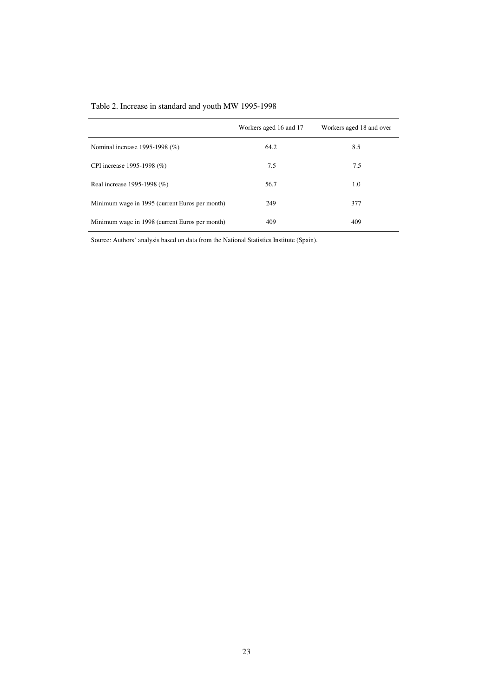|  | Table 2. Increase in standard and youth MW 1995-1998 |  |  |  |  |  |  |  |
|--|------------------------------------------------------|--|--|--|--|--|--|--|
|--|------------------------------------------------------|--|--|--|--|--|--|--|

|                                                | Workers aged 16 and 17 | Workers aged 18 and over |
|------------------------------------------------|------------------------|--------------------------|
| Nominal increase 1995-1998 (%)                 | 64.2                   | 8.5                      |
| CPI increase 1995-1998 (%)                     | 7.5                    | 7.5                      |
| Real increase 1995-1998 (%)                    | 56.7                   | 1.0                      |
| Minimum wage in 1995 (current Euros per month) | 249                    | 377                      |
| Minimum wage in 1998 (current Euros per month) | 409                    | 409                      |

Source: Authors' analysis based on data from the National Statistics Institute (Spain).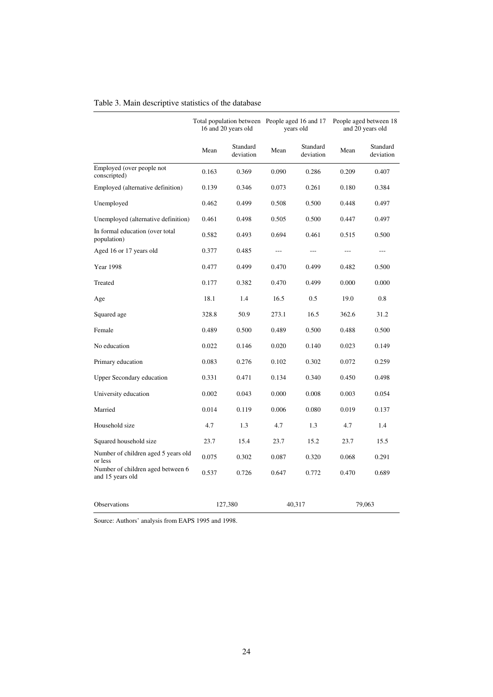| Table 3. Main descriptive statistics of the database |  |
|------------------------------------------------------|--|
|------------------------------------------------------|--|

|                                                       | Total population between People aged 16 and 17<br>16 and 20 years old |                       | years old |                       | People aged between 18<br>and 20 years old |                       |
|-------------------------------------------------------|-----------------------------------------------------------------------|-----------------------|-----------|-----------------------|--------------------------------------------|-----------------------|
|                                                       | Mean                                                                  | Standard<br>deviation | Mean      | Standard<br>deviation | Mean                                       | Standard<br>deviation |
| Employed (over people not<br>conscripted)             | 0.163                                                                 | 0.369                 | 0.090     | 0.286                 | 0.209                                      | 0.407                 |
| Employed (alternative definition)                     | 0.139                                                                 | 0.346                 | 0.073     | 0.261                 | 0.180                                      | 0.384                 |
| Unemployed                                            | 0.462                                                                 | 0.499                 | 0.508     | 0.500                 | 0.448                                      | 0.497                 |
| Unemployed (alternative definition)                   | 0.461                                                                 | 0.498                 | 0.505     | 0.500                 | 0.447                                      | 0.497                 |
| In formal education (over total<br>population)        | 0.582                                                                 | 0.493                 | 0.694     | 0.461                 | 0.515                                      | 0.500                 |
| Aged 16 or 17 years old                               | 0.377                                                                 | 0.485                 | $\cdots$  | $\qquad \qquad -$     | $---$                                      | $\qquad \qquad -$     |
| <b>Year 1998</b>                                      | 0.477                                                                 | 0.499                 | 0.470     | 0.499                 | 0.482                                      | 0.500                 |
| Treated                                               | 0.177                                                                 | 0.382                 | 0.470     | 0.499                 | 0.000                                      | 0.000                 |
| Age                                                   | 18.1                                                                  | 1.4                   | 16.5      | 0.5                   | 19.0                                       | 0.8                   |
| Squared age                                           | 328.8                                                                 | 50.9                  | 273.1     | 16.5                  | 362.6                                      | 31.2                  |
| Female                                                | 0.489                                                                 | 0.500                 | 0.489     | 0.500                 | 0.488                                      | 0.500                 |
| No education                                          | 0.022                                                                 | 0.146                 | 0.020     | 0.140                 | 0.023                                      | 0.149                 |
| Primary education                                     | 0.083                                                                 | 0.276                 | 0.102     | 0.302                 | 0.072                                      | 0.259                 |
| <b>Upper Secondary education</b>                      | 0.331                                                                 | 0.471                 | 0.134     | 0.340                 | 0.450                                      | 0.498                 |
| University education                                  | 0.002                                                                 | 0.043                 | 0.000     | 0.008                 | 0.003                                      | 0.054                 |
| Married                                               | 0.014                                                                 | 0.119                 | 0.006     | 0.080                 | 0.019                                      | 0.137                 |
| Household size                                        | 4.7                                                                   | 1.3                   | 4.7       | 1.3                   | 4.7                                        | 1.4                   |
| Squared household size                                | 23.7                                                                  | 15.4                  | 23.7      | 15.2                  | 23.7                                       | 15.5                  |
| Number of children aged 5 years old<br>or less        | 0.075                                                                 | 0.302                 | 0.087     | 0.320                 | 0.068                                      | 0.291                 |
| Number of children aged between 6<br>and 15 years old | 0.537                                                                 | 0.726                 | 0.647     | 0.772                 | 0.470                                      | 0.689                 |
| Observations                                          |                                                                       | 127,380               |           | 40,317                |                                            | 79,063                |

Source: Authors' analysis from EAPS 1995 and 1998.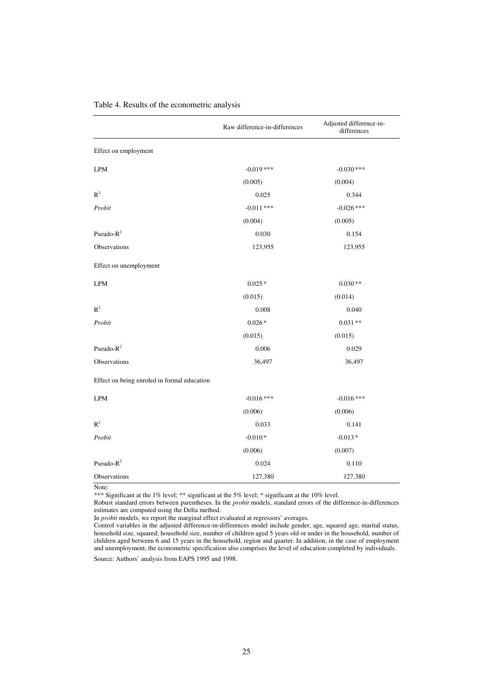|                                             | Raw difference-in-differences | Adjusted difference-in-<br>differences |
|---------------------------------------------|-------------------------------|----------------------------------------|
| Effect on employment                        |                               |                                        |
| $\ensuremath{\mathrm{LPM}}$                 | $-0.019$ ***                  | $-0.030$ ***                           |
|                                             | (0.005)                       | (0.004)                                |
| $R^2$                                       | 0.025                         | 0.344                                  |
| Probit                                      | $-0.011$ ***                  | $-0.026$ ***                           |
|                                             | (0.004)                       | (0.005)                                |
| Pseudo- $R^2$                               | 0.030                         | 0.154                                  |
| Observations                                | 123,955                       | 123,955                                |
| Effect on unemployment                      |                               |                                        |
| <b>LPM</b>                                  | $0.025*$                      | $0.030**$                              |
|                                             | (0.015)                       | (0.014)                                |
| $R^2$                                       | 0.008                         | 0.040                                  |
| Probit                                      | $0.026*$                      | $0.031**$                              |
|                                             | (0.015)                       | (0.015)                                |
| Pseudo- $R^2$                               | 0.006                         | 0.029                                  |
| Observations                                | 36,497                        | 36,497                                 |
| Effect on being enroled in formal education |                               |                                        |
| <b>LPM</b>                                  | $-0.016***$                   | $-0.016$ ***                           |
|                                             | (0.006)                       | (0.006)                                |
| $\mathbb{R}^2$                              | 0.033                         | 0.141                                  |
| Probit                                      | $-0.010*$                     | $-0.013*$                              |
|                                             | (0.006)                       | (0.007)                                |
| Pseudo- $R^2$                               | 0.024                         | 0.110                                  |
| Observations                                | 127,380                       | 127,380                                |

## Table 4. Results of the econometric analysis

Note:

\*\*\* Significant at the 1% level; \*\* significant at the 5% level; \* significant at the 10% level.

Robust standard errors between parentheses. In the *probit* models, standard errors of the difference-in-differences estimates are computed using the Delta method.

In *probit* models, we report the marginal effect evaluated at regressors' averages.

Control variables in the adjusted difference-in-differences model include gender, age, squared age, marital status, household size, squared; household size, number of children aged 5 years old or under in the household, number of children aged between 6 and 15 years in the household, region and quarter. In addition, in the case of employment and unemployment, the econometric specification also comprises the level of education completed by individuals.

Source: Authors' analysis from EAPS 1995 and 1998.